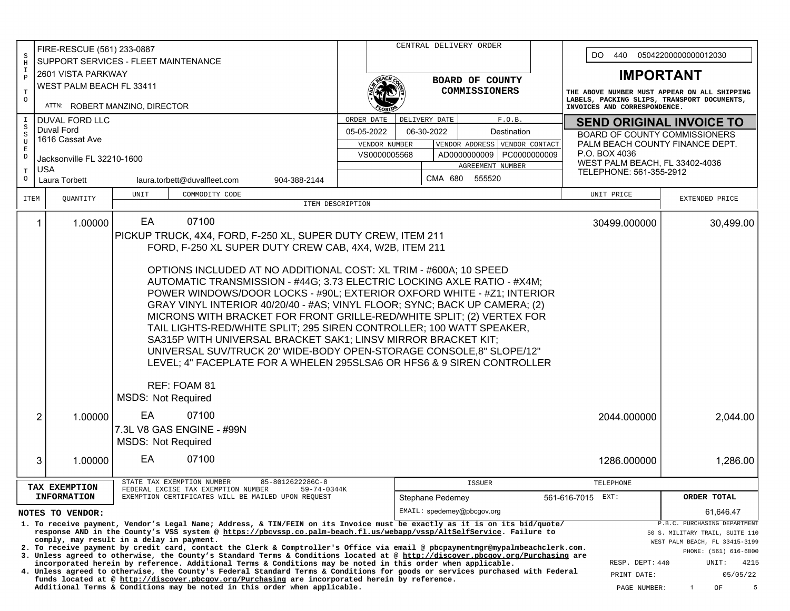|                                                                                                                                                                                                                                                   | FIRE-RESCUE (561) 233-0887                                                                                                     |  |                                                                                                                                                                                                                                               |                                                                            |                  |                                                                                                                                                                                                                                | CENTRAL DELIVERY ORDER     |               |  |                               |                                    |                    |                                                                             |                                                                         |                                                                   |                                              |           |  |
|---------------------------------------------------------------------------------------------------------------------------------------------------------------------------------------------------------------------------------------------------|--------------------------------------------------------------------------------------------------------------------------------|--|-----------------------------------------------------------------------------------------------------------------------------------------------------------------------------------------------------------------------------------------------|----------------------------------------------------------------------------|------------------|--------------------------------------------------------------------------------------------------------------------------------------------------------------------------------------------------------------------------------|----------------------------|---------------|--|-------------------------------|------------------------------------|--------------------|-----------------------------------------------------------------------------|-------------------------------------------------------------------------|-------------------------------------------------------------------|----------------------------------------------|-----------|--|
| S                                                                                                                                                                                                                                                 | SUPPORT SERVICES - FLEET MAINTENANCE<br>$\rm H$                                                                                |  |                                                                                                                                                                                                                                               |                                                                            |                  |                                                                                                                                                                                                                                |                            |               |  |                               | DO.<br>440<br>05042200000000012030 |                    |                                                                             |                                                                         |                                                                   |                                              |           |  |
| Ι.                                                                                                                                                                                                                                                | 2601 VISTA PARKWAY                                                                                                             |  |                                                                                                                                                                                                                                               |                                                                            |                  |                                                                                                                                                                                                                                |                            |               |  |                               |                                    |                    |                                                                             |                                                                         | <b>IMPORTANT</b>                                                  |                                              |           |  |
| $\mathbf{P}$                                                                                                                                                                                                                                      | WEST PALM BEACH FL 33411                                                                                                       |  |                                                                                                                                                                                                                                               |                                                                            |                  |                                                                                                                                                                                                                                |                            |               |  | BOARD OF COUNTY               |                                    |                    |                                                                             |                                                                         |                                                                   |                                              |           |  |
| $\mathbf T$<br>$\circ$                                                                                                                                                                                                                            |                                                                                                                                |  |                                                                                                                                                                                                                                               |                                                                            |                  |                                                                                                                                                                                                                                |                            |               |  | COMMISSIONERS                 |                                    |                    |                                                                             |                                                                         |                                                                   | THE ABOVE NUMBER MUST APPEAR ON ALL SHIPPING |           |  |
|                                                                                                                                                                                                                                                   | ATTN: ROBERT MANZINO, DIRECTOR                                                                                                 |  |                                                                                                                                                                                                                                               |                                                                            |                  |                                                                                                                                                                                                                                |                            |               |  |                               |                                    |                    | LABELS, PACKING SLIPS, TRANSPORT DOCUMENTS,<br>INVOICES AND CORRESPONDENCE. |                                                                         |                                                                   |                                              |           |  |
|                                                                                                                                                                                                                                                   | <b>DUVAL FORD LLC</b>                                                                                                          |  |                                                                                                                                                                                                                                               |                                                                            |                  | ORDER DATE                                                                                                                                                                                                                     |                            | DELIVERY DATE |  |                               | F.O.B.                             |                    |                                                                             |                                                                         |                                                                   |                                              |           |  |
| S<br>S                                                                                                                                                                                                                                            | Duval Ford                                                                                                                     |  |                                                                                                                                                                                                                                               |                                                                            |                  | 05-05-2022<br>06-30-2022<br>Destination                                                                                                                                                                                        |                            |               |  |                               |                                    |                    |                                                                             | <b>SEND ORIGINAL INVOICE TO</b><br><b>BOARD OF COUNTY COMMISSIONERS</b> |                                                                   |                                              |           |  |
| $\mathbf{U}$<br>E                                                                                                                                                                                                                                 | 1616 Cassat Ave                                                                                                                |  |                                                                                                                                                                                                                                               |                                                                            |                  |                                                                                                                                                                                                                                | VENDOR NUMBER              |               |  | VENDOR ADDRESS VENDOR CONTACT |                                    |                    |                                                                             |                                                                         |                                                                   | PALM BEACH COUNTY FINANCE DEPT.              |           |  |
| D                                                                                                                                                                                                                                                 | Jacksonville FL 32210-1600                                                                                                     |  |                                                                                                                                                                                                                                               |                                                                            |                  |                                                                                                                                                                                                                                | VS0000005568               |               |  | AD0000000009   PC0000000009   |                                    |                    |                                                                             | P.O. BOX 4036                                                           |                                                                   |                                              |           |  |
| Т                                                                                                                                                                                                                                                 | <b>USA</b>                                                                                                                     |  |                                                                                                                                                                                                                                               |                                                                            |                  | AGREEMENT NUMBER                                                                                                                                                                                                               |                            |               |  |                               |                                    |                    | WEST PALM BEACH, FL 33402-4036<br>TELEPHONE: 561-355-2912                   |                                                                         |                                                                   |                                              |           |  |
| $\circ$                                                                                                                                                                                                                                           | Laura Torbett                                                                                                                  |  |                                                                                                                                                                                                                                               | laura.torbett@duvalfleet.com                                               | 904-388-2144     |                                                                                                                                                                                                                                |                            |               |  | CMA 680 555520                |                                    |                    |                                                                             |                                                                         |                                                                   |                                              |           |  |
| ITEM                                                                                                                                                                                                                                              | QUANTITY                                                                                                                       |  | UNIT                                                                                                                                                                                                                                          | COMMODITY CODE                                                             |                  |                                                                                                                                                                                                                                |                            |               |  |                               |                                    |                    |                                                                             | UNIT PRICE                                                              |                                                                   | EXTENDED PRICE                               |           |  |
|                                                                                                                                                                                                                                                   |                                                                                                                                |  |                                                                                                                                                                                                                                               |                                                                            | ITEM DESCRIPTION |                                                                                                                                                                                                                                |                            |               |  |                               |                                    |                    |                                                                             |                                                                         |                                                                   |                                              |           |  |
|                                                                                                                                                                                                                                                   | $\mathbf{1}$<br>1.00000                                                                                                        |  | EA                                                                                                                                                                                                                                            | 07100                                                                      |                  |                                                                                                                                                                                                                                |                            |               |  |                               |                                    |                    |                                                                             |                                                                         | 30499.000000                                                      |                                              | 30,499.00 |  |
|                                                                                                                                                                                                                                                   |                                                                                                                                |  |                                                                                                                                                                                                                                               | PICKUP TRUCK, 4X4, FORD, F-250 XL, SUPER DUTY CREW, ITEM 211               |                  |                                                                                                                                                                                                                                |                            |               |  |                               |                                    |                    |                                                                             |                                                                         |                                                                   |                                              |           |  |
|                                                                                                                                                                                                                                                   |                                                                                                                                |  |                                                                                                                                                                                                                                               | FORD, F-250 XL SUPER DUTY CREW CAB, 4X4, W2B, ITEM 211                     |                  |                                                                                                                                                                                                                                |                            |               |  |                               |                                    |                    |                                                                             |                                                                         |                                                                   |                                              |           |  |
|                                                                                                                                                                                                                                                   |                                                                                                                                |  |                                                                                                                                                                                                                                               |                                                                            |                  |                                                                                                                                                                                                                                |                            |               |  |                               |                                    |                    |                                                                             |                                                                         |                                                                   |                                              |           |  |
|                                                                                                                                                                                                                                                   |                                                                                                                                |  |                                                                                                                                                                                                                                               | OPTIONS INCLUDED AT NO ADDITIONAL COST: XL TRIM - #600A; 10 SPEED          |                  |                                                                                                                                                                                                                                |                            |               |  |                               |                                    |                    |                                                                             |                                                                         |                                                                   |                                              |           |  |
|                                                                                                                                                                                                                                                   |                                                                                                                                |  |                                                                                                                                                                                                                                               | AUTOMATIC TRANSMISSION - #44G; 3.73 ELECTRIC LOCKING AXLE RATIO - #X4M;    |                  |                                                                                                                                                                                                                                |                            |               |  |                               |                                    |                    |                                                                             |                                                                         |                                                                   |                                              |           |  |
|                                                                                                                                                                                                                                                   |                                                                                                                                |  |                                                                                                                                                                                                                                               | POWER WINDOWS/DOOR LOCKS - #90L; EXTERIOR OXFORD WHITE - #Z1; INTERIOR     |                  |                                                                                                                                                                                                                                |                            |               |  |                               |                                    |                    |                                                                             |                                                                         |                                                                   |                                              |           |  |
|                                                                                                                                                                                                                                                   |                                                                                                                                |  |                                                                                                                                                                                                                                               | GRAY VINYL INTERIOR 40/20/40 - #AS; VINYL FLOOR; SYNC; BACK UP CAMERA; (2) |                  |                                                                                                                                                                                                                                |                            |               |  |                               |                                    |                    |                                                                             |                                                                         |                                                                   |                                              |           |  |
|                                                                                                                                                                                                                                                   |                                                                                                                                |  |                                                                                                                                                                                                                                               | MICRONS WITH BRACKET FOR FRONT GRILLE-RED/WHITE SPLIT; (2) VERTEX FOR      |                  |                                                                                                                                                                                                                                |                            |               |  |                               |                                    |                    |                                                                             |                                                                         |                                                                   |                                              |           |  |
|                                                                                                                                                                                                                                                   |                                                                                                                                |  |                                                                                                                                                                                                                                               | TAIL LIGHTS-RED/WHITE SPLIT; 295 SIREN CONTROLLER; 100 WATT SPEAKER,       |                  |                                                                                                                                                                                                                                |                            |               |  |                               |                                    |                    |                                                                             |                                                                         |                                                                   |                                              |           |  |
|                                                                                                                                                                                                                                                   |                                                                                                                                |  |                                                                                                                                                                                                                                               | SA315P WITH UNIVERSAL BRACKET SAK1; LINSV MIRROR BRACKET KIT;              |                  |                                                                                                                                                                                                                                |                            |               |  |                               |                                    |                    |                                                                             |                                                                         |                                                                   |                                              |           |  |
|                                                                                                                                                                                                                                                   |                                                                                                                                |  |                                                                                                                                                                                                                                               | UNIVERSAL SUV/TRUCK 20' WIDE-BODY OPEN-STORAGE CONSOLE,8" SLOPE/12"        |                  |                                                                                                                                                                                                                                |                            |               |  |                               |                                    |                    |                                                                             |                                                                         |                                                                   |                                              |           |  |
|                                                                                                                                                                                                                                                   |                                                                                                                                |  |                                                                                                                                                                                                                                               | LEVEL; 4" FACEPLATE FOR A WHELEN 295SLSA6 OR HFS6 & 9 SIREN CONTROLLER     |                  |                                                                                                                                                                                                                                |                            |               |  |                               |                                    |                    |                                                                             |                                                                         |                                                                   |                                              |           |  |
|                                                                                                                                                                                                                                                   |                                                                                                                                |  |                                                                                                                                                                                                                                               |                                                                            |                  |                                                                                                                                                                                                                                |                            |               |  |                               |                                    |                    |                                                                             |                                                                         |                                                                   |                                              |           |  |
|                                                                                                                                                                                                                                                   |                                                                                                                                |  |                                                                                                                                                                                                                                               | REF: FOAM 81                                                               |                  |                                                                                                                                                                                                                                |                            |               |  |                               |                                    |                    |                                                                             |                                                                         |                                                                   |                                              |           |  |
|                                                                                                                                                                                                                                                   |                                                                                                                                |  | <b>MSDS: Not Required</b>                                                                                                                                                                                                                     |                                                                            |                  |                                                                                                                                                                                                                                |                            |               |  |                               |                                    |                    |                                                                             |                                                                         |                                                                   |                                              |           |  |
|                                                                                                                                                                                                                                                   | $\overline{2}$<br>1.00000                                                                                                      |  | EA                                                                                                                                                                                                                                            | 07100                                                                      |                  |                                                                                                                                                                                                                                |                            |               |  |                               |                                    |                    |                                                                             |                                                                         | 2044.000000                                                       |                                              | 2,044.00  |  |
|                                                                                                                                                                                                                                                   | 7.3L V8 GAS ENGINE - #99N                                                                                                      |  |                                                                                                                                                                                                                                               |                                                                            |                  |                                                                                                                                                                                                                                |                            |               |  |                               |                                    |                    |                                                                             |                                                                         |                                                                   |                                              |           |  |
|                                                                                                                                                                                                                                                   | <b>MSDS: Not Required</b>                                                                                                      |  |                                                                                                                                                                                                                                               |                                                                            |                  |                                                                                                                                                                                                                                |                            |               |  |                               |                                    |                    |                                                                             |                                                                         |                                                                   |                                              |           |  |
|                                                                                                                                                                                                                                                   |                                                                                                                                |  |                                                                                                                                                                                                                                               |                                                                            |                  |                                                                                                                                                                                                                                |                            |               |  |                               |                                    |                    |                                                                             |                                                                         |                                                                   |                                              |           |  |
|                                                                                                                                                                                                                                                   | 3<br>1.00000                                                                                                                   |  | EA                                                                                                                                                                                                                                            | 07100                                                                      |                  |                                                                                                                                                                                                                                |                            |               |  |                               |                                    |                    |                                                                             |                                                                         | 1286.000000                                                       |                                              | 1,286.00  |  |
|                                                                                                                                                                                                                                                   |                                                                                                                                |  |                                                                                                                                                                                                                                               |                                                                            |                  |                                                                                                                                                                                                                                |                            |               |  |                               |                                    |                    |                                                                             |                                                                         |                                                                   |                                              |           |  |
| 85-8012622286C-8<br>STATE TAX EXEMPTION NUMBER<br>TAX EXEMPTION<br>FEDERAL EXCISE TAX EXEMPTION NUMBER<br>59-74-0344K                                                                                                                             |                                                                                                                                |  |                                                                                                                                                                                                                                               |                                                                            |                  |                                                                                                                                                                                                                                |                            |               |  | <b>ISSUER</b>                 |                                    |                    |                                                                             | TELEPHONE                                                               |                                                                   |                                              |           |  |
| <b>INFORMATION</b><br>EXEMPTION CERTIFICATES WILL BE MAILED UPON REQUEST                                                                                                                                                                          |                                                                                                                                |  |                                                                                                                                                                                                                                               |                                                                            |                  |                                                                                                                                                                                                                                | Stephane Pedemey           |               |  |                               |                                    | 561-616-7015 EXT:  |                                                                             |                                                                         | ORDER TOTAL                                                       |                                              |           |  |
|                                                                                                                                                                                                                                                   | NOTES TO VENDOR:                                                                                                               |  |                                                                                                                                                                                                                                               |                                                                            |                  |                                                                                                                                                                                                                                | EMAIL: spedemey@pbcqov.org |               |  |                               |                                    |                    |                                                                             |                                                                         |                                                                   |                                              | 61,646.47 |  |
| 1. To receive payment, Vendor's Legal Name; Address, & TIN/FEIN on its Invoice must be exactly as it is on its bid/quote/<br>response AND in the County's VSS system @ https://pbcvssp.co.palm-beach.fl.us/webapp/vssp/AltSelfService. Failure to |                                                                                                                                |  |                                                                                                                                                                                                                                               |                                                                            |                  |                                                                                                                                                                                                                                |                            |               |  |                               | P.B.C. PURCHASING DEPARTMENT       |                    |                                                                             |                                                                         |                                                                   |                                              |           |  |
|                                                                                                                                                                                                                                                   | comply, may result in a delay in payment.                                                                                      |  |                                                                                                                                                                                                                                               |                                                                            |                  |                                                                                                                                                                                                                                |                            |               |  |                               |                                    |                    |                                                                             |                                                                         | 50 S. MILITARY TRAIL, SUITE 110<br>WEST PALM BEACH, FL 33415-3199 |                                              |           |  |
|                                                                                                                                                                                                                                                   | 2. To receive payment by credit card, contact the Clerk & Comptroller's Office via email @ pbcpaymentmgr@mypalmbeachclerk.com. |  |                                                                                                                                                                                                                                               |                                                                            |                  |                                                                                                                                                                                                                                |                            |               |  |                               |                                    |                    | PHONE: (561) 616-6800                                                       |                                                                         |                                                                   |                                              |           |  |
|                                                                                                                                                                                                                                                   |                                                                                                                                |  | 3. Unless agreed to otherwise, the County's Standard Terms & Conditions located at @ http://discover.pbcgov.org/Purchasing are<br>incorporated herein by reference. Additional Terms & Conditions may be noted in this order when applicable. |                                                                            |                  |                                                                                                                                                                                                                                |                            |               |  |                               | RESP. DEPT: 440                    | UNIT:              | 4215                                                                        |                                                                         |                                                                   |                                              |           |  |
|                                                                                                                                                                                                                                                   |                                                                                                                                |  |                                                                                                                                                                                                                                               |                                                                            |                  | 4. Unless agreed to otherwise, the County's Federal Standard Terms & Conditions for goods or services purchased with Federal<br>funds located at @ http://discover.pbcgov.org/Purchasing are incorporated herein by reference. |                            |               |  |                               |                                    |                    |                                                                             | PRINT DATE:                                                             |                                                                   | 05/05/22                                     |           |  |
|                                                                                                                                                                                                                                                   | Additional Terms & Conditions may be noted in this order when applicable.                                                      |  |                                                                                                                                                                                                                                               |                                                                            |                  |                                                                                                                                                                                                                                |                            |               |  |                               | PAGE NUMBER:                       | $\mathbf{1}$<br>OF | 5                                                                           |                                                                         |                                                                   |                                              |           |  |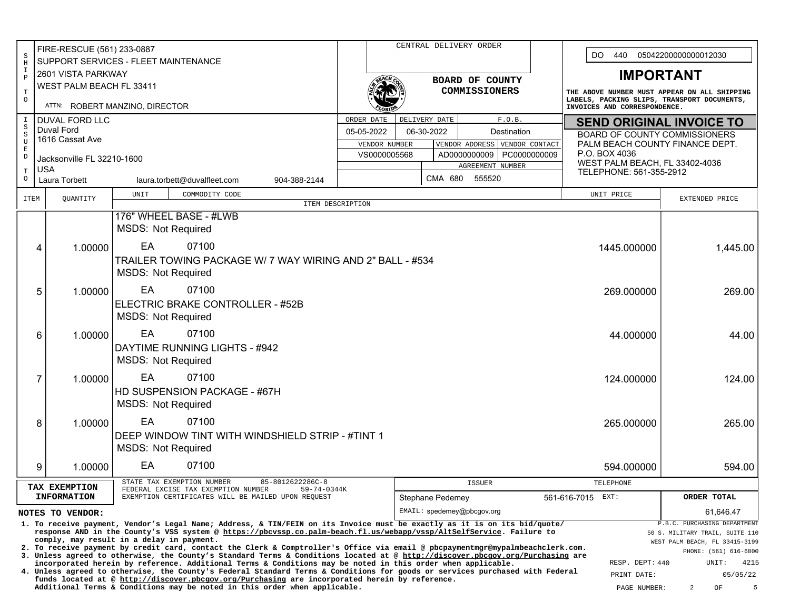|                                                                                                             | FIRE-RESCUE (561) 233-0887                                                                                                                                                                                                             |                                                                                                                                                                                                                                                                  |                  |                            |                  | CENTRAL DELIVERY ORDER      |                 |                                                                                                                             |                                      |                                 |  |  |  |
|-------------------------------------------------------------------------------------------------------------|----------------------------------------------------------------------------------------------------------------------------------------------------------------------------------------------------------------------------------------|------------------------------------------------------------------------------------------------------------------------------------------------------------------------------------------------------------------------------------------------------------------|------------------|----------------------------|------------------|-----------------------------|-----------------|-----------------------------------------------------------------------------------------------------------------------------|--------------------------------------|---------------------------------|--|--|--|
| S<br>$\, {\rm H}$                                                                                           |                                                                                                                                                                                                                                        | SUPPORT SERVICES - FLEET MAINTENANCE                                                                                                                                                                                                                             |                  |                            |                  |                             |                 |                                                                                                                             | DO.<br>440<br>05042200000000012030   |                                 |  |  |  |
| I<br>$\, {\bf P}$                                                                                           | 2601 VISTA PARKWAY                                                                                                                                                                                                                     |                                                                                                                                                                                                                                                                  | BOARD OF COUNTY  |                            |                  |                             |                 |                                                                                                                             | <b>IMPORTANT</b>                     |                                 |  |  |  |
| $\mathbf T$                                                                                                 | WEST PALM BEACH FL 33411                                                                                                                                                                                                               |                                                                                                                                                                                                                                                                  |                  |                            |                  | COMMISSIONERS               |                 |                                                                                                                             |                                      |                                 |  |  |  |
| $\circ$                                                                                                     |                                                                                                                                                                                                                                        | ATTN: ROBERT MANZINO, DIRECTOR                                                                                                                                                                                                                                   |                  |                            |                  |                             |                 | THE ABOVE NUMBER MUST APPEAR ON ALL SHIPPING<br>LABELS, PACKING SLIPS, TRANSPORT DOCUMENTS,<br>INVOICES AND CORRESPONDENCE. |                                      |                                 |  |  |  |
| $\mathbbm{I}$                                                                                               | <b>DUVAL FORD LLC</b>                                                                                                                                                                                                                  |                                                                                                                                                                                                                                                                  | ORDER DATE       |                            | DELIVERY DATE    |                             | F.O.B.          |                                                                                                                             |                                      | <b>SEND ORIGINAL INVOICE TO</b> |  |  |  |
| $\, \mathbb{S}$<br>$\,$ S                                                                                   | Duval Ford                                                                                                                                                                                                                             |                                                                                                                                                                                                                                                                  | 05-05-2022       |                            | 06-30-2022       | Destination                 |                 |                                                                                                                             | <b>BOARD OF COUNTY COMMISSIONERS</b> |                                 |  |  |  |
| U<br>$\mathbf E$                                                                                            | 1616 Cassat Ave                                                                                                                                                                                                                        |                                                                                                                                                                                                                                                                  | VENDOR NUMBER    |                            |                  | VENDOR ADDRESS              | VENDOR CONTACT  |                                                                                                                             |                                      | PALM BEACH COUNTY FINANCE DEPT. |  |  |  |
| $\mathbb D$                                                                                                 | Jacksonville FL 32210-1600                                                                                                                                                                                                             |                                                                                                                                                                                                                                                                  | VS0000005568     |                            |                  | AD0000000009   PC0000000009 |                 | P.O. BOX 4036<br>WEST PALM BEACH, FL 33402-4036                                                                             |                                      |                                 |  |  |  |
| $\mathbf T$                                                                                                 | <b>USA</b>                                                                                                                                                                                                                             |                                                                                                                                                                                                                                                                  |                  |                            |                  | AGREEMENT NUMBER            |                 |                                                                                                                             | TELEPHONE: 561-355-2912              |                                 |  |  |  |
| $\circ$                                                                                                     | Laura Torbett                                                                                                                                                                                                                          | laura.torbett@duvalfleet.com<br>904-388-2144                                                                                                                                                                                                                     |                  |                            | CMA 680          | 555520                      |                 |                                                                                                                             |                                      |                                 |  |  |  |
| ITEM                                                                                                        | QUANTITY                                                                                                                                                                                                                               | UNIT<br>COMMODITY CODE                                                                                                                                                                                                                                           |                  |                            |                  |                             |                 |                                                                                                                             | UNIT PRICE                           | EXTENDED PRICE                  |  |  |  |
|                                                                                                             |                                                                                                                                                                                                                                        | 176" WHEEL BASE - #LWB                                                                                                                                                                                                                                           | ITEM DESCRIPTION |                            |                  |                             |                 |                                                                                                                             |                                      |                                 |  |  |  |
|                                                                                                             |                                                                                                                                                                                                                                        | <b>MSDS: Not Required</b>                                                                                                                                                                                                                                        |                  |                            |                  |                             |                 |                                                                                                                             |                                      |                                 |  |  |  |
|                                                                                                             | 1.00000<br>4                                                                                                                                                                                                                           | EA<br>07100                                                                                                                                                                                                                                                      |                  |                            |                  |                             |                 |                                                                                                                             | 1445.000000                          | 1,445.00                        |  |  |  |
|                                                                                                             |                                                                                                                                                                                                                                        | TRAILER TOWING PACKAGE W/ 7 WAY WIRING AND 2" BALL - #534                                                                                                                                                                                                        |                  |                            |                  |                             |                 |                                                                                                                             |                                      |                                 |  |  |  |
|                                                                                                             |                                                                                                                                                                                                                                        | <b>MSDS: Not Required</b>                                                                                                                                                                                                                                        |                  |                            |                  |                             |                 |                                                                                                                             |                                      |                                 |  |  |  |
|                                                                                                             | 5<br>1.00000                                                                                                                                                                                                                           | EA<br>07100                                                                                                                                                                                                                                                      |                  |                            |                  |                             |                 |                                                                                                                             | 269.000000                           | 269.00                          |  |  |  |
|                                                                                                             |                                                                                                                                                                                                                                        | ELECTRIC BRAKE CONTROLLER - #52B                                                                                                                                                                                                                                 |                  |                            |                  |                             |                 |                                                                                                                             |                                      |                                 |  |  |  |
|                                                                                                             |                                                                                                                                                                                                                                        | <b>MSDS: Not Required</b>                                                                                                                                                                                                                                        |                  |                            |                  |                             |                 |                                                                                                                             |                                      |                                 |  |  |  |
|                                                                                                             | 1.00000<br>6                                                                                                                                                                                                                           | EA<br>07100                                                                                                                                                                                                                                                      |                  |                            |                  |                             |                 |                                                                                                                             | 44.000000                            | 44.00                           |  |  |  |
|                                                                                                             |                                                                                                                                                                                                                                        | DAYTIME RUNNING LIGHTS - #942                                                                                                                                                                                                                                    |                  |                            |                  |                             |                 |                                                                                                                             |                                      |                                 |  |  |  |
|                                                                                                             |                                                                                                                                                                                                                                        | <b>MSDS: Not Required</b>                                                                                                                                                                                                                                        |                  |                            |                  |                             |                 |                                                                                                                             |                                      |                                 |  |  |  |
|                                                                                                             | 7<br>1.00000                                                                                                                                                                                                                           | EA<br>07100                                                                                                                                                                                                                                                      |                  |                            |                  |                             |                 |                                                                                                                             | 124.000000                           | 124.00                          |  |  |  |
|                                                                                                             |                                                                                                                                                                                                                                        | HD SUSPENSION PACKAGE - #67H                                                                                                                                                                                                                                     |                  |                            |                  |                             |                 |                                                                                                                             |                                      |                                 |  |  |  |
|                                                                                                             |                                                                                                                                                                                                                                        | <b>MSDS: Not Required</b>                                                                                                                                                                                                                                        |                  |                            |                  |                             |                 |                                                                                                                             |                                      |                                 |  |  |  |
|                                                                                                             | 8<br>1.00000                                                                                                                                                                                                                           | EA<br>07100                                                                                                                                                                                                                                                      |                  |                            |                  |                             |                 |                                                                                                                             | 265.000000                           | 265.00                          |  |  |  |
|                                                                                                             |                                                                                                                                                                                                                                        | DEEP WINDOW TINT WITH WINDSHIELD STRIP - #TINT 1                                                                                                                                                                                                                 |                  |                            |                  |                             |                 |                                                                                                                             |                                      |                                 |  |  |  |
|                                                                                                             |                                                                                                                                                                                                                                        | <b>MSDS: Not Required</b>                                                                                                                                                                                                                                        |                  |                            |                  |                             |                 |                                                                                                                             |                                      |                                 |  |  |  |
|                                                                                                             | 9<br>1.00000                                                                                                                                                                                                                           | EA<br>07100                                                                                                                                                                                                                                                      |                  |                            |                  |                             |                 |                                                                                                                             | 594.000000                           | 594.00                          |  |  |  |
|                                                                                                             |                                                                                                                                                                                                                                        | 85-8012622286C-8<br>STATE TAX EXEMPTION NUMBER                                                                                                                                                                                                                   |                  |                            |                  | <b>ISSUER</b>               |                 |                                                                                                                             | TELEPHONE                            |                                 |  |  |  |
|                                                                                                             | TAX EXEMPTION<br><b>INFORMATION</b>                                                                                                                                                                                                    | FEDERAL EXCISE TAX EXEMPTION NUMBER<br>59-74-0344K<br>EXEMPTION CERTIFICATES WILL BE MAILED UPON REQUEST                                                                                                                                                         |                  |                            | Stephane Pedemey |                             |                 | 561-616-7015 EXT:                                                                                                           |                                      | ORDER TOTAL                     |  |  |  |
|                                                                                                             | NOTES TO VENDOR:                                                                                                                                                                                                                       |                                                                                                                                                                                                                                                                  |                  | EMAIL: spedemey@pbcgov.org |                  |                             |                 |                                                                                                                             |                                      | 61,646.47                       |  |  |  |
|                                                                                                             |                                                                                                                                                                                                                                        | 1. To receive payment, Vendor's Legal Name; Address, & TIN/FEIN on its Invoice must be exactly as it is on its bid/quote/                                                                                                                                        |                  |                            |                  |                             |                 |                                                                                                                             |                                      | P.B.C. PURCHASING DEPARTMENT    |  |  |  |
|                                                                                                             | response AND in the County's VSS system @ https://pbcvssp.co.palm-beach.fl.us/webapp/vssp/AltSelfService. Failure to<br>50 S. MILITARY TRAIL, SUITE 110<br>comply, may result in a delay in payment.<br>WEST PALM BEACH, FL 33415-3199 |                                                                                                                                                                                                                                                                  |                  |                            |                  |                             |                 |                                                                                                                             |                                      |                                 |  |  |  |
|                                                                                                             |                                                                                                                                                                                                                                        | 2. To receive payment by credit card, contact the Clerk & Comptroller's Office via email @ pbcpaymentmgr@mypalmbeachclerk.com.<br>3. Unless agreed to otherwise, the County's Standard Terms & Conditions located at @ http://discover.pbcgov.org/Purchasing are |                  |                            |                  |                             |                 |                                                                                                                             |                                      | PHONE: (561) 616-6800           |  |  |  |
|                                                                                                             |                                                                                                                                                                                                                                        | incorporated herein by reference. Additional Terms & Conditions may be noted in this order when applicable.                                                                                                                                                      |                  |                            |                  |                             | RESP. DEPT: 440 | 4215<br>UNIT:                                                                                                               |                                      |                                 |  |  |  |
|                                                                                                             |                                                                                                                                                                                                                                        | 4. Unless agreed to otherwise, the County's Federal Standard Terms & Conditions for goods or services purchased with Federal<br>funds located at @ http://discover.pbcgov.org/Purchasing are incorporated herein by reference.                                   |                  |                            |                  |                             |                 |                                                                                                                             | PRINT DATE:                          | 05/05/22                        |  |  |  |
| Additional Terms & Conditions may be noted in this order when applicable.<br>$\overline{2}$<br>PAGE NUMBER: |                                                                                                                                                                                                                                        |                                                                                                                                                                                                                                                                  |                  |                            |                  |                             |                 |                                                                                                                             |                                      | 5<br>OF                         |  |  |  |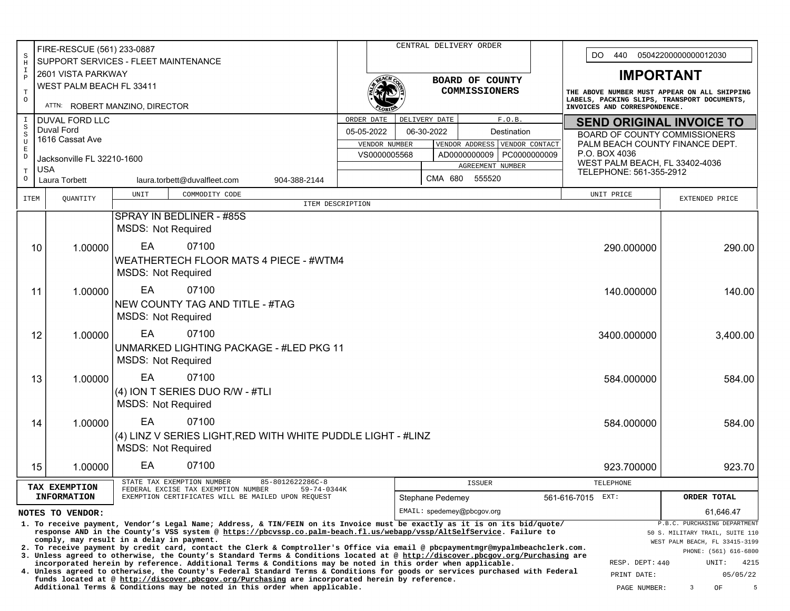| FIRE-RESCUE (561) 233-0887<br>$\rm S$          |                                                                                                                                                                                                                                                                                                                      |                                                                                                                                                                                                                                               |                                                                                           |              | CENTRAL DELIVERY ORDER |               |                             |                                                                         | DO.<br>440<br>05042200000000012030           |                                                         |  |  |
|------------------------------------------------|----------------------------------------------------------------------------------------------------------------------------------------------------------------------------------------------------------------------------------------------------------------------------------------------------------------------|-----------------------------------------------------------------------------------------------------------------------------------------------------------------------------------------------------------------------------------------------|-------------------------------------------------------------------------------------------|--------------|------------------------|---------------|-----------------------------|-------------------------------------------------------------------------|----------------------------------------------|---------------------------------------------------------|--|--|
| $\, {\rm H}$<br>$\mathbbm{1}$                  | SUPPORT SERVICES - FLEET MAINTENANCE                                                                                                                                                                                                                                                                                 |                                                                                                                                                                                                                                               |                                                                                           |              |                        |               |                             |                                                                         |                                              |                                                         |  |  |
| $\, {\bf P}$                                   | 2601 VISTA PARKWAY<br>WEST PALM BEACH FL 33411                                                                                                                                                                                                                                                                       | BOARD OF COUNTY                                                                                                                                                                                                                               |                                                                                           |              |                        |               |                             | <b>IMPORTANT</b>                                                        |                                              |                                                         |  |  |
| $\mathbf T$<br>$\circ$                         |                                                                                                                                                                                                                                                                                                                      |                                                                                                                                                                                                                                               |                                                                                           |              |                        | COMMISSIONERS |                             | LABELS, PACKING SLIPS, TRANSPORT DOCUMENTS,                             | THE ABOVE NUMBER MUST APPEAR ON ALL SHIPPING |                                                         |  |  |
|                                                | ATTN: ROBERT MANZINO, DIRECTOR                                                                                                                                                                                                                                                                                       |                                                                                                                                                                                                                                               |                                                                                           |              |                        |               |                             | INVOICES AND CORRESPONDENCE.                                            |                                              |                                                         |  |  |
| $\mathbf I$<br>$\rm S$                         | <b>DUVAL FORD LLC</b><br>Duval Ford                                                                                                                                                                                                                                                                                  |                                                                                                                                                                                                                                               | ORDER DATE                                                                                |              | DELIVERY DATE          |               | F.0.B.                      |                                                                         |                                              | <b>SEND ORIGINAL INVOICE TO</b>                         |  |  |
| $\rm S$<br>U                                   | 1616 Cassat Ave                                                                                                                                                                                                                                                                                                      |                                                                                                                                                                                                                                               | 06-30-2022<br>05-05-2022<br>Destination<br>VENDOR ADDRESS VENDOR CONTACT<br>VENDOR NUMBER |              |                        |               |                             | <b>BOARD OF COUNTY COMMISSIONERS</b><br>PALM BEACH COUNTY FINANCE DEPT. |                                              |                                                         |  |  |
| $\mathbf E$<br>$\mathbb D$                     | Jacksonville FL 32210-1600                                                                                                                                                                                                                                                                                           |                                                                                                                                                                                                                                               |                                                                                           | VS0000005568 |                        |               | AD0000000009   PC0000000009 |                                                                         | P.O. BOX 4036                                |                                                         |  |  |
| $\mathbf T$                                    | <b>USA</b>                                                                                                                                                                                                                                                                                                           |                                                                                                                                                                                                                                               |                                                                                           |              |                        |               | AGREEMENT NUMBER            | WEST PALM BEACH, FL 33402-4036<br>TELEPHONE: 561-355-2912               |                                              |                                                         |  |  |
| $\circ$                                        | Laura Torbett                                                                                                                                                                                                                                                                                                        | laura.torbett@duvalfleet.com<br>904-388-2144                                                                                                                                                                                                  |                                                                                           |              |                        | CMA 680       | 555520                      |                                                                         |                                              |                                                         |  |  |
| <b>ITEM</b>                                    | QUANTITY                                                                                                                                                                                                                                                                                                             | UNIT<br>COMMODITY CODE                                                                                                                                                                                                                        | ITEM DESCRIPTION                                                                          |              |                        |               |                             |                                                                         | UNIT PRICE                                   | EXTENDED PRICE                                          |  |  |
|                                                |                                                                                                                                                                                                                                                                                                                      | SPRAY IN BEDLINER - #85S                                                                                                                                                                                                                      |                                                                                           |              |                        |               |                             |                                                                         |                                              |                                                         |  |  |
|                                                |                                                                                                                                                                                                                                                                                                                      | <b>MSDS: Not Required</b>                                                                                                                                                                                                                     |                                                                                           |              |                        |               |                             |                                                                         |                                              |                                                         |  |  |
|                                                | 1.00000<br>10                                                                                                                                                                                                                                                                                                        | EA<br>07100                                                                                                                                                                                                                                   |                                                                                           |              |                        |               |                             |                                                                         | 290.000000                                   | 290.00                                                  |  |  |
|                                                |                                                                                                                                                                                                                                                                                                                      | WEATHERTECH FLOOR MATS 4 PIECE - #WTM4                                                                                                                                                                                                        |                                                                                           |              |                        |               |                             |                                                                         |                                              |                                                         |  |  |
|                                                |                                                                                                                                                                                                                                                                                                                      | <b>MSDS: Not Required</b>                                                                                                                                                                                                                     |                                                                                           |              |                        |               |                             |                                                                         |                                              |                                                         |  |  |
|                                                | 11<br>1.00000                                                                                                                                                                                                                                                                                                        | EA<br>07100                                                                                                                                                                                                                                   |                                                                                           |              |                        |               |                             |                                                                         | 140.000000                                   | 140.00                                                  |  |  |
|                                                |                                                                                                                                                                                                                                                                                                                      | NEW COUNTY TAG AND TITLE - #TAG                                                                                                                                                                                                               |                                                                                           |              |                        |               |                             |                                                                         |                                              |                                                         |  |  |
|                                                |                                                                                                                                                                                                                                                                                                                      | <b>MSDS: Not Required</b>                                                                                                                                                                                                                     |                                                                                           |              |                        |               |                             |                                                                         |                                              |                                                         |  |  |
|                                                | 12<br>1.00000                                                                                                                                                                                                                                                                                                        | EA<br>07100                                                                                                                                                                                                                                   |                                                                                           |              |                        |               |                             |                                                                         | 3400.000000                                  | 3,400.00                                                |  |  |
|                                                |                                                                                                                                                                                                                                                                                                                      | UNMARKED LIGHTING PACKAGE - #LED PKG 11                                                                                                                                                                                                       |                                                                                           |              |                        |               |                             |                                                                         |                                              |                                                         |  |  |
|                                                |                                                                                                                                                                                                                                                                                                                      | <b>MSDS: Not Required</b>                                                                                                                                                                                                                     |                                                                                           |              |                        |               |                             |                                                                         |                                              |                                                         |  |  |
|                                                | 13<br>1.00000                                                                                                                                                                                                                                                                                                        | EA<br>07100                                                                                                                                                                                                                                   |                                                                                           |              |                        |               |                             |                                                                         | 584.000000                                   | 584.00                                                  |  |  |
|                                                |                                                                                                                                                                                                                                                                                                                      | (4) ION T SERIES DUO R/W - #TLI                                                                                                                                                                                                               |                                                                                           |              |                        |               |                             |                                                                         |                                              |                                                         |  |  |
|                                                |                                                                                                                                                                                                                                                                                                                      | <b>MSDS: Not Required</b>                                                                                                                                                                                                                     |                                                                                           |              |                        |               |                             |                                                                         |                                              |                                                         |  |  |
|                                                | 1.00000<br>14                                                                                                                                                                                                                                                                                                        | EA<br>07100                                                                                                                                                                                                                                   |                                                                                           |              |                        |               |                             |                                                                         | 584.000000                                   | 584.00                                                  |  |  |
|                                                |                                                                                                                                                                                                                                                                                                                      | (4) LINZ V SERIES LIGHT, RED WITH WHITE PUDDLE LIGHT - #LINZ                                                                                                                                                                                  |                                                                                           |              |                        |               |                             |                                                                         |                                              |                                                         |  |  |
|                                                |                                                                                                                                                                                                                                                                                                                      | <b>MSDS: Not Required</b>                                                                                                                                                                                                                     |                                                                                           |              |                        |               |                             |                                                                         |                                              |                                                         |  |  |
|                                                | 15<br>1.00000                                                                                                                                                                                                                                                                                                        | EA<br>07100                                                                                                                                                                                                                                   |                                                                                           |              |                        |               |                             |                                                                         | 923.700000                                   | 923.70                                                  |  |  |
|                                                | TAX EXEMPTION                                                                                                                                                                                                                                                                                                        | 85-8012622286C-8<br>STATE TAX EXEMPTION NUMBER<br>FEDERAL EXCISE TAX EXEMPTION NUMBER<br>59-74-0344K                                                                                                                                          |                                                                                           |              |                        |               | <b>ISSUER</b>               |                                                                         | TELEPHONE                                    |                                                         |  |  |
|                                                | <b>INFORMATION</b><br>EXEMPTION CERTIFICATES WILL BE MAILED UPON REOUEST                                                                                                                                                                                                                                             |                                                                                                                                                                                                                                               |                                                                                           |              | Stephane Pedemey       |               |                             |                                                                         | 561-616-7015 EXT:                            | ORDER TOTAL                                             |  |  |
| EMAIL: spedemey@pbcgov.org<br>NOTES TO VENDOR: |                                                                                                                                                                                                                                                                                                                      |                                                                                                                                                                                                                                               |                                                                                           |              |                        |               |                             |                                                                         |                                              | 61,646.47                                               |  |  |
|                                                | P.B.C. PURCHASING DEPARTMENT<br>1. To receive payment, Vendor's Legal Name; Address, & TIN/FEIN on its Invoice must be exactly as it is on its bid/quote/<br>response AND in the County's VSS system @ https://pbcvssp.co.palm-beach.fl.us/webapp/vssp/AltSelfService. Failure to<br>50 S. MILITARY TRAIL, SUITE 110 |                                                                                                                                                                                                                                               |                                                                                           |              |                        |               |                             |                                                                         |                                              |                                                         |  |  |
|                                                |                                                                                                                                                                                                                                                                                                                      | comply, may result in a delay in payment.<br>2. To receive payment by credit card, contact the Clerk & Comptroller's Office via email @ pbcpaymentmgr@mypalmbeachclerk.com.                                                                   |                                                                                           |              |                        |               |                             |                                                                         |                                              | WEST PALM BEACH, FL 33415-3199<br>PHONE: (561) 616-6800 |  |  |
|                                                |                                                                                                                                                                                                                                                                                                                      | 3. Unless agreed to otherwise, the County's Standard Terms & Conditions located at @ http://discover.pbcgov.org/Purchasing are<br>incorporated herein by reference. Additional Terms & Conditions may be noted in this order when applicable. |                                                                                           |              |                        |               |                             |                                                                         | RESP. DEPT: 440                              | 4215<br>UNIT:                                           |  |  |
|                                                |                                                                                                                                                                                                                                                                                                                      | 4. Unless agreed to otherwise, the County's Federal Standard Terms & Conditions for goods or services purchased with Federal<br>funds located at @ http://discover.pbcgov.org/Purchasing are incorporated herein by reference.                |                                                                                           |              |                        |               |                             |                                                                         | PRINT DATE:                                  | 05/05/22                                                |  |  |
|                                                |                                                                                                                                                                                                                                                                                                                      | Additional Terms & Conditions may be noted in this order when applicable.                                                                                                                                                                     |                                                                                           |              |                        |               |                             |                                                                         | PAGE NUMBER:                                 | $\mathbf{3}$<br>OF<br>5                                 |  |  |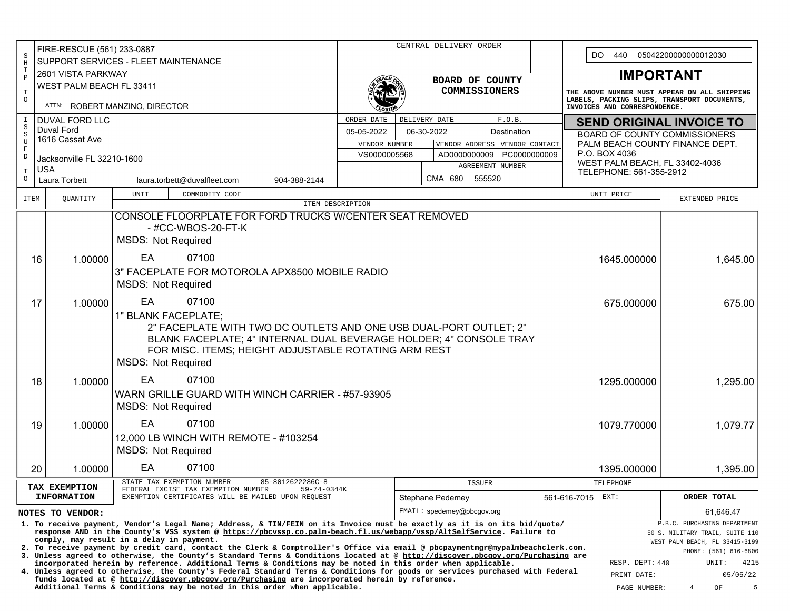| FIRE-RESCUE (561) 233-0887         |                                                                                                           |                                                      |                                                                                                                                                                                                                                                                  |                  |                               |            |                  | CENTRAL DELIVERY ORDER                        |                |                                 |                                                                             |                                                                 |  |  |  |
|------------------------------------|-----------------------------------------------------------------------------------------------------------|------------------------------------------------------|------------------------------------------------------------------------------------------------------------------------------------------------------------------------------------------------------------------------------------------------------------------|------------------|-------------------------------|------------|------------------|-----------------------------------------------|----------------|---------------------------------|-----------------------------------------------------------------------------|-----------------------------------------------------------------|--|--|--|
| $\rm S$<br>$\rm H$                 |                                                                                                           | SUPPORT SERVICES - FLEET MAINTENANCE                 |                                                                                                                                                                                                                                                                  |                  |                               |            |                  |                                               |                |                                 | 440<br>05042200000000012030<br>DO.                                          |                                                                 |  |  |  |
| $\mathbf I$<br>$\, {\bf P}$        | 2601 VISTA PARKWAY                                                                                        |                                                      |                                                                                                                                                                                                                                                                  | BOARD OF COUNTY  |                               |            |                  |                                               |                |                                 | <b>IMPORTANT</b>                                                            |                                                                 |  |  |  |
| $\mathbf T$                        | WEST PALM BEACH FL 33411                                                                                  |                                                      |                                                                                                                                                                                                                                                                  |                  |                               |            |                  | <b>COMMISSIONERS</b>                          |                |                                 |                                                                             | THE ABOVE NUMBER MUST APPEAR ON ALL SHIPPING                    |  |  |  |
| $\circ$                            | ATTN: ROBERT MANZINO, DIRECTOR                                                                            |                                                      |                                                                                                                                                                                                                                                                  |                  |                               |            |                  |                                               |                |                                 | LABELS, PACKING SLIPS, TRANSPORT DOCUMENTS,<br>INVOICES AND CORRESPONDENCE. |                                                                 |  |  |  |
| $\mathbbm{1}$                      | <b>DUVAL FORD LLC</b>                                                                                     |                                                      | ORDER DATE                                                                                                                                                                                                                                                       |                  | DELIVERY DATE                 |            |                  | F.O.B.                                        |                | <b>SEND ORIGINAL INVOICE TO</b> |                                                                             |                                                                 |  |  |  |
| $_{\rm S}^{\rm S}$<br>$\mathtt{U}$ | Duval Ford<br>05-05-2022<br>1616 Cassat Ave                                                               |                                                      |                                                                                                                                                                                                                                                                  |                  |                               | 06-30-2022 |                  | Destination                                   |                |                                 | <b>BOARD OF COUNTY COMMISSIONERS</b>                                        |                                                                 |  |  |  |
| $\mathbf E$                        |                                                                                                           |                                                      |                                                                                                                                                                                                                                                                  |                  | VENDOR NUMBER<br>VS0000005568 |            |                  | VENDOR ADDRESS<br>AD0000000009   PC0000000009 | VENDOR CONTACT |                                 | P.O. BOX 4036                                                               | PALM BEACH COUNTY FINANCE DEPT.                                 |  |  |  |
| $\mathbb D$                        | Jacksonville FL 32210-1600                                                                                |                                                      |                                                                                                                                                                                                                                                                  |                  |                               |            |                  | AGREEMENT NUMBER                              |                |                                 | WEST PALM BEACH, FL 33402-4036                                              |                                                                 |  |  |  |
| $\mathbf T$<br>$\circ$             | <b>USA</b><br><b>Laura Torbett</b>                                                                        |                                                      | laura.torbett@duvalfleet.com<br>904-388-2144                                                                                                                                                                                                                     |                  |                               |            | CMA 680          | 555520                                        |                |                                 | TELEPHONE: 561-355-2912                                                     |                                                                 |  |  |  |
| <b>ITEM</b>                        | QUANTITY                                                                                                  |                                                      | COMMODITY CODE<br>UNIT                                                                                                                                                                                                                                           |                  |                               |            |                  |                                               |                |                                 | UNIT PRICE                                                                  | EXTENDED PRICE                                                  |  |  |  |
|                                    |                                                                                                           |                                                      | CONSOLE FLOORPLATE FOR FORD TRUCKS W/CENTER SEAT REMOVED                                                                                                                                                                                                         | ITEM DESCRIPTION |                               |            |                  |                                               |                |                                 |                                                                             |                                                                 |  |  |  |
|                                    |                                                                                                           |                                                      | - #CC-WBOS-20-FT-K                                                                                                                                                                                                                                               |                  |                               |            |                  |                                               |                |                                 |                                                                             |                                                                 |  |  |  |
|                                    |                                                                                                           |                                                      | <b>MSDS: Not Required</b>                                                                                                                                                                                                                                        |                  |                               |            |                  |                                               |                |                                 |                                                                             |                                                                 |  |  |  |
|                                    | 1.00000<br>16                                                                                             |                                                      | EA<br>07100                                                                                                                                                                                                                                                      |                  |                               |            |                  |                                               |                |                                 | 1645.000000                                                                 | 1,645.00                                                        |  |  |  |
|                                    |                                                                                                           |                                                      | 3" FACEPLATE FOR MOTOROLA APX8500 MOBILE RADIO                                                                                                                                                                                                                   |                  |                               |            |                  |                                               |                |                                 |                                                                             |                                                                 |  |  |  |
|                                    |                                                                                                           |                                                      | <b>MSDS: Not Required</b>                                                                                                                                                                                                                                        |                  |                               |            |                  |                                               |                |                                 |                                                                             |                                                                 |  |  |  |
|                                    |                                                                                                           |                                                      | EA                                                                                                                                                                                                                                                               |                  |                               |            |                  |                                               |                |                                 |                                                                             |                                                                 |  |  |  |
|                                    | 1.00000<br>17                                                                                             |                                                      | 07100                                                                                                                                                                                                                                                            |                  |                               |            |                  |                                               |                |                                 | 675.000000                                                                  | 675.00                                                          |  |  |  |
|                                    |                                                                                                           |                                                      | 1" BLANK FACEPLATE;<br>2" FACEPLATE WITH TWO DC OUTLETS AND ONE USB DUAL-PORT OUTLET; 2"                                                                                                                                                                         |                  |                               |            |                  |                                               |                |                                 |                                                                             |                                                                 |  |  |  |
|                                    |                                                                                                           |                                                      | BLANK FACEPLATE; 4" INTERNAL DUAL BEVERAGE HOLDER; 4" CONSOLE TRAY                                                                                                                                                                                               |                  |                               |            |                  |                                               |                |                                 |                                                                             |                                                                 |  |  |  |
|                                    |                                                                                                           | FOR MISC. ITEMS; HEIGHT ADJUSTABLE ROTATING ARM REST |                                                                                                                                                                                                                                                                  |                  |                               |            |                  |                                               |                |                                 |                                                                             |                                                                 |  |  |  |
|                                    |                                                                                                           |                                                      | <b>MSDS: Not Required</b>                                                                                                                                                                                                                                        |                  |                               |            |                  |                                               |                |                                 |                                                                             |                                                                 |  |  |  |
|                                    | 1.00000<br>18                                                                                             |                                                      | EA<br>07100                                                                                                                                                                                                                                                      |                  |                               |            |                  |                                               |                |                                 | 1295.000000                                                                 | 1,295.00                                                        |  |  |  |
|                                    |                                                                                                           |                                                      | WARN GRILLE GUARD WITH WINCH CARRIER - #57-93905                                                                                                                                                                                                                 |                  |                               |            |                  |                                               |                |                                 |                                                                             |                                                                 |  |  |  |
|                                    |                                                                                                           |                                                      | <b>MSDS: Not Required</b>                                                                                                                                                                                                                                        |                  |                               |            |                  |                                               |                |                                 |                                                                             |                                                                 |  |  |  |
|                                    | 1.00000<br>19                                                                                             |                                                      | EA<br>07100                                                                                                                                                                                                                                                      |                  |                               |            |                  |                                               |                |                                 | 1079.770000                                                                 | 1,079.77                                                        |  |  |  |
|                                    |                                                                                                           |                                                      | 12,000 LB WINCH WITH REMOTE - #103254                                                                                                                                                                                                                            |                  |                               |            |                  |                                               |                |                                 |                                                                             |                                                                 |  |  |  |
|                                    |                                                                                                           |                                                      | <b>MSDS: Not Required</b>                                                                                                                                                                                                                                        |                  |                               |            |                  |                                               |                |                                 |                                                                             |                                                                 |  |  |  |
|                                    | 20<br>1.00000                                                                                             |                                                      | EA<br>07100                                                                                                                                                                                                                                                      |                  |                               |            |                  |                                               |                |                                 | 1395.000000                                                                 | 1,395.00                                                        |  |  |  |
|                                    | TAX EXEMPTION                                                                                             |                                                      | STATE TAX EXEMPTION NUMBER<br>85-8012622286C-8<br>FEDERAL EXCISE TAX EXEMPTION NUMBER<br>59-74-0344K                                                                                                                                                             |                  |                               |            |                  | <b>ISSUER</b>                                 |                |                                 | TELEPHONE                                                                   |                                                                 |  |  |  |
|                                    | <b>INFORMATION</b>                                                                                        |                                                      | EXEMPTION CERTIFICATES WILL BE MAILED UPON REQUEST                                                                                                                                                                                                               |                  |                               |            | Stephane Pedemey |                                               |                |                                 | 561-616-7015 EXT:                                                           | ORDER TOTAL                                                     |  |  |  |
| NOTES TO VENDOR:                   |                                                                                                           |                                                      |                                                                                                                                                                                                                                                                  |                  |                               |            |                  | EMAIL: spedemey@pbcgov.org                    |                |                                 |                                                                             | 61,646.47                                                       |  |  |  |
|                                    |                                                                                                           |                                                      | 1. To receive payment, Vendor's Legal Name; Address, & TIN/FEIN on its Invoice must be exactly as it is on its bid/quote/<br>response AND in the County's VSS system @ https://pbcvssp.co.palm-beach.fl.us/webapp/vssp/AltSelfService. Failure to                |                  |                               |            |                  |                                               |                |                                 |                                                                             | P.B.C. PURCHASING DEPARTMENT<br>50 S. MILITARY TRAIL, SUITE 110 |  |  |  |
|                                    |                                                                                                           |                                                      | comply, may result in a delay in payment.                                                                                                                                                                                                                        |                  |                               |            |                  |                                               |                |                                 |                                                                             | WEST PALM BEACH, FL 33415-3199                                  |  |  |  |
|                                    |                                                                                                           |                                                      | 2. To receive payment by credit card, contact the Clerk & Comptroller's Office via email @ pbcpaymentmgr@mypalmbeachclerk.com.<br>3. Unless agreed to otherwise, the County's Standard Terms & Conditions located at @ http://discover.pbcgov.org/Purchasing are |                  |                               |            |                  |                                               |                |                                 |                                                                             | PHONE: (561) 616-6800                                           |  |  |  |
|                                    |                                                                                                           |                                                      | incorporated herein by reference. Additional Terms & Conditions may be noted in this order when applicable.<br>4. Unless agreed to otherwise, the County's Federal Standard Terms & Conditions for goods or services purchased with Federal                      |                  |                               |            |                  |                                               |                |                                 | RESP. DEPT: 440<br>PRINT DATE:                                              | 4215<br>UNIT:<br>05/05/22                                       |  |  |  |
|                                    |                                                                                                           |                                                      | funds located at @ http://discover.pbcgov.org/Purchasing are incorporated herein by reference.                                                                                                                                                                   |                  |                               |            |                  |                                               |                |                                 |                                                                             |                                                                 |  |  |  |
|                                    | Additional Terms & Conditions may be noted in this order when applicable.<br>5<br>OF<br>PAGE NUMBER:<br>4 |                                                      |                                                                                                                                                                                                                                                                  |                  |                               |            |                  |                                               |                |                                 |                                                                             |                                                                 |  |  |  |